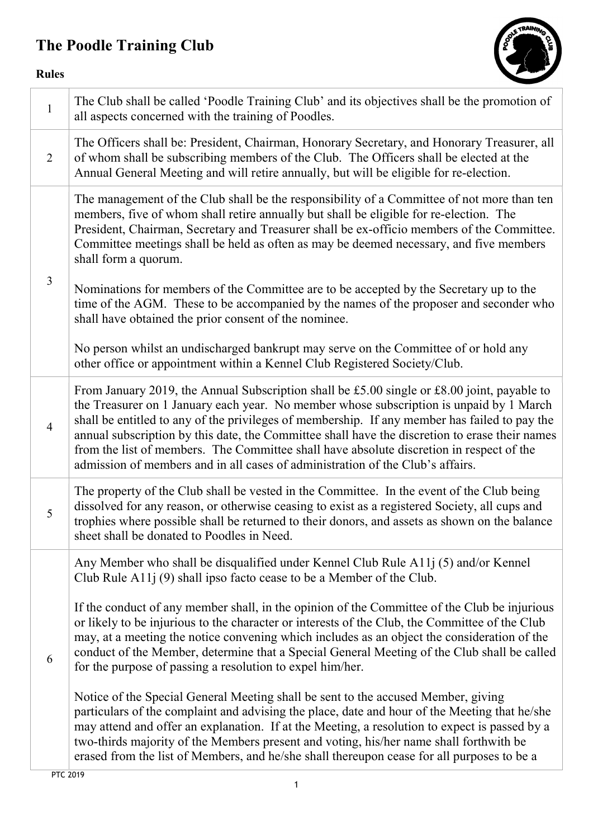## The Poodle Training Club



## Rules

| $\mathbf{1}$   | The Club shall be called 'Poodle Training Club' and its objectives shall be the promotion of<br>all aspects concerned with the training of Poodles.                                                                                                                                                                                                                                                                                                                                                                                                                     |
|----------------|-------------------------------------------------------------------------------------------------------------------------------------------------------------------------------------------------------------------------------------------------------------------------------------------------------------------------------------------------------------------------------------------------------------------------------------------------------------------------------------------------------------------------------------------------------------------------|
| 2              | The Officers shall be: President, Chairman, Honorary Secretary, and Honorary Treasurer, all<br>of whom shall be subscribing members of the Club. The Officers shall be elected at the<br>Annual General Meeting and will retire annually, but will be eligible for re-election.                                                                                                                                                                                                                                                                                         |
|                | The management of the Club shall be the responsibility of a Committee of not more than ten<br>members, five of whom shall retire annually but shall be eligible for re-election. The<br>President, Chairman, Secretary and Treasurer shall be ex-officio members of the Committee.<br>Committee meetings shall be held as often as may be deemed necessary, and five members<br>shall form a quorum.                                                                                                                                                                    |
| $\mathfrak{Z}$ | Nominations for members of the Committee are to be accepted by the Secretary up to the<br>time of the AGM. These to be accompanied by the names of the proposer and seconder who<br>shall have obtained the prior consent of the nominee.                                                                                                                                                                                                                                                                                                                               |
|                | No person whilst an undischarged bankrupt may serve on the Committee of or hold any<br>other office or appointment within a Kennel Club Registered Society/Club.                                                                                                                                                                                                                                                                                                                                                                                                        |
| $\overline{4}$ | From January 2019, the Annual Subscription shall be £5.00 single or £8.00 joint, payable to<br>the Treasurer on 1 January each year. No member whose subscription is unpaid by 1 March<br>shall be entitled to any of the privileges of membership. If any member has failed to pay the<br>annual subscription by this date, the Committee shall have the discretion to erase their names<br>from the list of members. The Committee shall have absolute discretion in respect of the<br>admission of members and in all cases of administration of the Club's affairs. |
| 5              | The property of the Club shall be vested in the Committee. In the event of the Club being<br>dissolved for any reason, or otherwise ceasing to exist as a registered Society, all cups and<br>trophies where possible shall be returned to their donors, and assets as shown on the balance<br>sheet shall be donated to Poodles in Need.                                                                                                                                                                                                                               |
|                | Any Member who shall be disqualified under Kennel Club Rule A11j (5) and/or Kennel<br>Club Rule $A11j(9)$ shall ipso facto cease to be a Member of the Club.                                                                                                                                                                                                                                                                                                                                                                                                            |
| 6              | If the conduct of any member shall, in the opinion of the Committee of the Club be injurious<br>or likely to be injurious to the character or interests of the Club, the Committee of the Club<br>may, at a meeting the notice convening which includes as an object the consideration of the<br>conduct of the Member, determine that a Special General Meeting of the Club shall be called<br>for the purpose of passing a resolution to expel him/her.                                                                                                               |
|                | Notice of the Special General Meeting shall be sent to the accused Member, giving<br>particulars of the complaint and advising the place, date and hour of the Meeting that he/she<br>may attend and offer an explanation. If at the Meeting, a resolution to expect is passed by a<br>two-thirds majority of the Members present and voting, his/her name shall forthwith be<br>erased from the list of Members, and he/she shall thereupon cease for all purposes to be a                                                                                             |